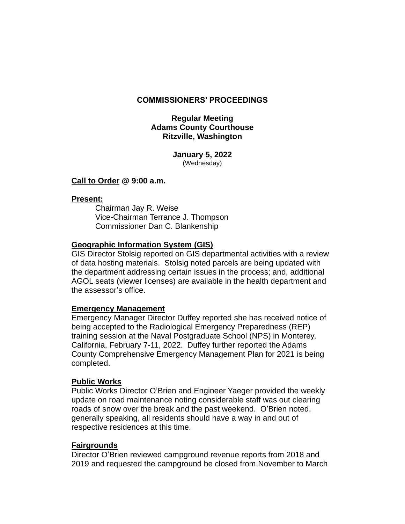#### **COMMISSIONERS' PROCEEDINGS**

## **Regular Meeting Adams County Courthouse Ritzville, Washington**

**January 5, 2022** (Wednesday)

#### **Call to Order @ 9:00 a.m.**

#### **Present:**

Chairman Jay R. Weise Vice-Chairman Terrance J. Thompson Commissioner Dan C. Blankenship

### **Geographic Information System (GIS)**

GIS Director Stolsig reported on GIS departmental activities with a review of data hosting materials. Stolsig noted parcels are being updated with the department addressing certain issues in the process; and, additional AGOL seats (viewer licenses) are available in the health department and the assessor's office.

## **Emergency Management**

Emergency Manager Director Duffey reported she has received notice of being accepted to the Radiological Emergency Preparedness (REP) training session at the Naval Postgraduate School (NPS) in Monterey, California, February 7-11, 2022. Duffey further reported the Adams County Comprehensive Emergency Management Plan for 2021 is being completed.

#### **Public Works**

Public Works Director O'Brien and Engineer Yaeger provided the weekly update on road maintenance noting considerable staff was out clearing roads of snow over the break and the past weekend. O'Brien noted, generally speaking, all residents should have a way in and out of respective residences at this time.

## **Fairgrounds**

Director O'Brien reviewed campground revenue reports from 2018 and 2019 and requested the campground be closed from November to March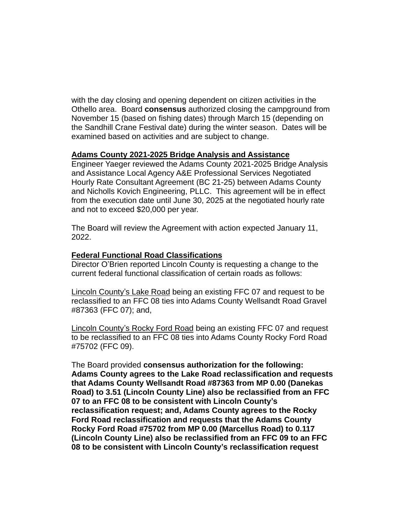with the day closing and opening dependent on citizen activities in the Othello area. Board **consensus** authorized closing the campground from November 15 (based on fishing dates) through March 15 (depending on the Sandhill Crane Festival date) during the winter season. Dates will be examined based on activities and are subject to change.

#### **Adams County 2021-2025 Bridge Analysis and Assistance**

Engineer Yaeger reviewed the Adams County 2021-2025 Bridge Analysis and Assistance Local Agency A&E Professional Services Negotiated Hourly Rate Consultant Agreement (BC 21-25) between Adams County and Nicholls Kovich Engineering, PLLC. This agreement will be in effect from the execution date until June 30, 2025 at the negotiated hourly rate and not to exceed \$20,000 per year.

The Board will review the Agreement with action expected January 11, 2022.

### **Federal Functional Road Classifications**

Director O'Brien reported Lincoln County is requesting a change to the current federal functional classification of certain roads as follows:

Lincoln County's Lake Road being an existing FFC 07 and request to be reclassified to an FFC 08 ties into Adams County Wellsandt Road Gravel #87363 (FFC 07); and,

Lincoln County's Rocky Ford Road being an existing FFC 07 and request to be reclassified to an FFC 08 ties into Adams County Rocky Ford Road #75702 (FFC 09).

The Board provided **consensus authorization for the following: Adams County agrees to the Lake Road reclassification and requests that Adams County Wellsandt Road #87363 from MP 0.00 (Danekas Road) to 3.51 (Lincoln County Line) also be reclassified from an FFC 07 to an FFC 08 to be consistent with Lincoln County's reclassification request; and, Adams County agrees to the Rocky Ford Road reclassification and requests that the Adams County Rocky Ford Road #75702 from MP 0.00 (Marcellus Road) to 0.117 (Lincoln County Line) also be reclassified from an FFC 09 to an FFC 08 to be consistent with Lincoln County's reclassification request**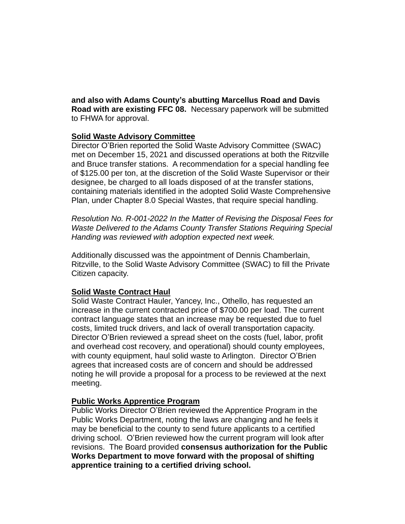**and also with Adams County's abutting Marcellus Road and Davis Road with are existing FFC 08.** Necessary paperwork will be submitted to FHWA for approval.

## **Solid Waste Advisory Committee**

Director O'Brien reported the Solid Waste Advisory Committee (SWAC) met on December 15, 2021 and discussed operations at both the Ritzville and Bruce transfer stations. A recommendation for a special handling fee of \$125.00 per ton, at the discretion of the Solid Waste Supervisor or their designee, be charged to all loads disposed of at the transfer stations, containing materials identified in the adopted Solid Waste Comprehensive Plan, under Chapter 8.0 Special Wastes, that require special handling.

*Resolution No. R-001-2022 In the Matter of Revising the Disposal Fees for Waste Delivered to the Adams County Transfer Stations Requiring Special Handing was reviewed with adoption expected next week.*

Additionally discussed was the appointment of Dennis Chamberlain, Ritzville, to the Solid Waste Advisory Committee (SWAC) to fill the Private Citizen capacity.

## **Solid Waste Contract Haul**

Solid Waste Contract Hauler, Yancey, Inc., Othello, has requested an increase in the current contracted price of \$700.00 per load. The current contract language states that an increase may be requested due to fuel costs, limited truck drivers, and lack of overall transportation capacity. Director O'Brien reviewed a spread sheet on the costs (fuel, labor, profit and overhead cost recovery, and operational) should county employees, with county equipment, haul solid waste to Arlington. Director O'Brien agrees that increased costs are of concern and should be addressed noting he will provide a proposal for a process to be reviewed at the next meeting.

## **Public Works Apprentice Program**

Public Works Director O'Brien reviewed the Apprentice Program in the Public Works Department, noting the laws are changing and he feels it may be beneficial to the county to send future applicants to a certified driving school. O'Brien reviewed how the current program will look after revisions. The Board provided **consensus authorization for the Public Works Department to move forward with the proposal of shifting apprentice training to a certified driving school.**